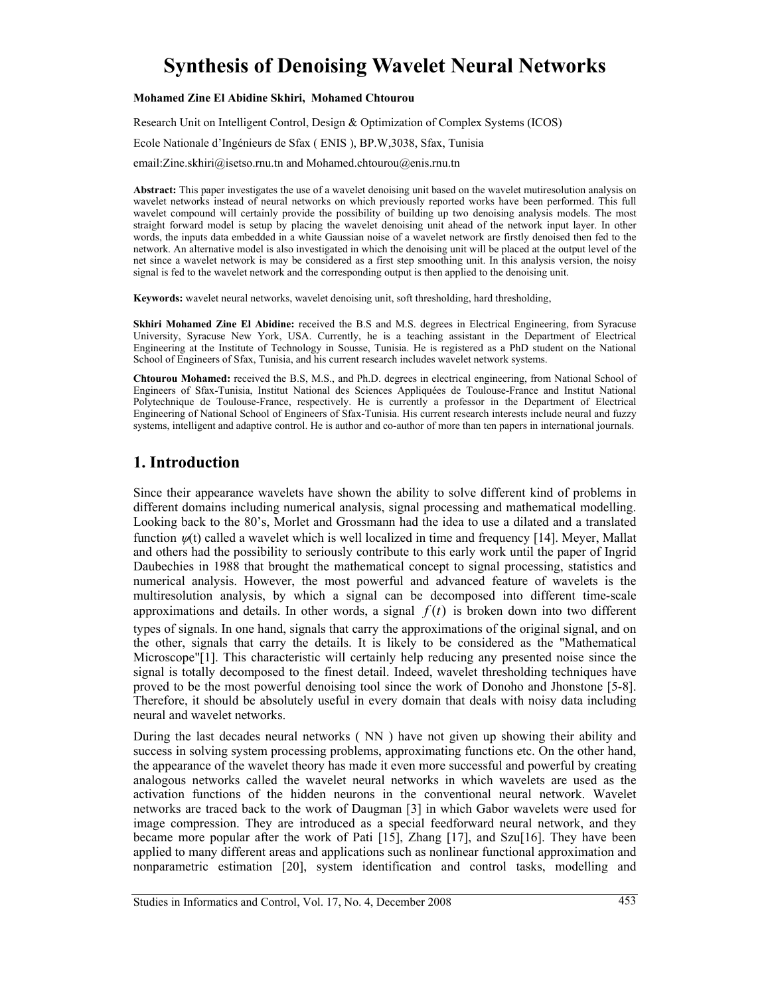# **Synthesis of Denoising Wavelet Neural Networks**

### **Mohamed Zine El Abidine Skhiri, Mohamed Chtourou**

Research Unit on Intelligent Control, Design & Optimization of Complex Systems (ICOS) Ecole Nationale d'Ingénieurs de Sfax ( ENIS ), BP.W,3038, Sfax, Tunisia email:Zine.skhiri@isetso.rnu.tn and Mohamed.chtourou@enis.rnu.tn

**Abstract:** This paper investigates the use of a wavelet denoising unit based on the wavelet mutiresolution analysis on wavelet networks instead of neural networks on which previously reported works have been performed. This full wavelet compound will certainly provide the possibility of building up two denoising analysis models. The most straight forward model is setup by placing the wavelet denoising unit ahead of the network input layer. In other words, the inputs data embedded in a white Gaussian noise of a wavelet network are firstly denoised then fed to the network. An alternative model is also investigated in which the denoising unit will be placed at the output level of the net since a wavelet network is may be considered as a first step smoothing unit. In this analysis version, the noisy signal is fed to the wavelet network and the corresponding output is then applied to the denoising unit.

**Keywords:** wavelet neural networks, wavelet denoising unit, soft thresholding, hard thresholding,

**Skhiri Mohamed Zine El Abidine:** received the B.S and M.S. degrees in Electrical Engineering, from Syracuse University, Syracuse New York, USA. Currently, he is a teaching assistant in the Department of Electrical Engineering at the Institute of Technology in Sousse, Tunisia. He is registered as a PhD student on the National School of Engineers of Sfax, Tunisia, and his current research includes wavelet network systems.

**Chtourou Mohamed:** received the B.S, M.S., and Ph.D. degrees in electrical engineering, from National School of Engineers of Sfax-Tunisia, Institut National des Sciences Appliquées de Toulouse-France and Institut National Polytechnique de Toulouse-France, respectively. He is currently a professor in the Department of Electrical Engineering of National School of Engineers of Sfax-Tunisia. His current research interests include neural and fuzzy systems, intelligent and adaptive control. He is author and co-author of more than ten papers in international journals.

## **1. Introduction**

Since their appearance wavelets have shown the ability to solve different kind of problems in different domains including numerical analysis, signal processing and mathematical modelling. Looking back to the 80's, Morlet and Grossmann had the idea to use a dilated and a translated function  $\psi(t)$  called a wavelet which is well localized in time and frequency [14]. Meyer, Mallat and others had the possibility to seriously contribute to this early work until the paper of Ingrid Daubechies in 1988 that brought the mathematical concept to signal processing, statistics and numerical analysis. However, the most powerful and advanced feature of wavelets is the multiresolution analysis, by which a signal can be decomposed into different time-scale approximations and details. In other words, a signal  $f(t)$  is broken down into two different types of signals. In one hand, signals that carry the approximations of the original signal, and on the other, signals that carry the details. It is likely to be considered as the "Mathematical Microscope"[1]. This characteristic will certainly help reducing any presented noise since the signal is totally decomposed to the finest detail. Indeed, wavelet thresholding techniques have proved to be the most powerful denoising tool since the work of Donoho and Jhonstone [5-8]. Therefore, it should be absolutely useful in every domain that deals with noisy data including neural and wavelet networks.

During the last decades neural networks ( NN ) have not given up showing their ability and success in solving system processing problems, approximating functions etc. On the other hand, the appearance of the wavelet theory has made it even more successful and powerful by creating analogous networks called the wavelet neural networks in which wavelets are used as the activation functions of the hidden neurons in the conventional neural network. Wavelet networks are traced back to the work of Daugman [3] in which Gabor wavelets were used for image compression. They are introduced as a special feedforward neural network, and they became more popular after the work of Pati [15], Zhang [17], and Szu[16]. They have been applied to many different areas and applications such as nonlinear functional approximation and nonparametric estimation [20], system identification and control tasks, modelling and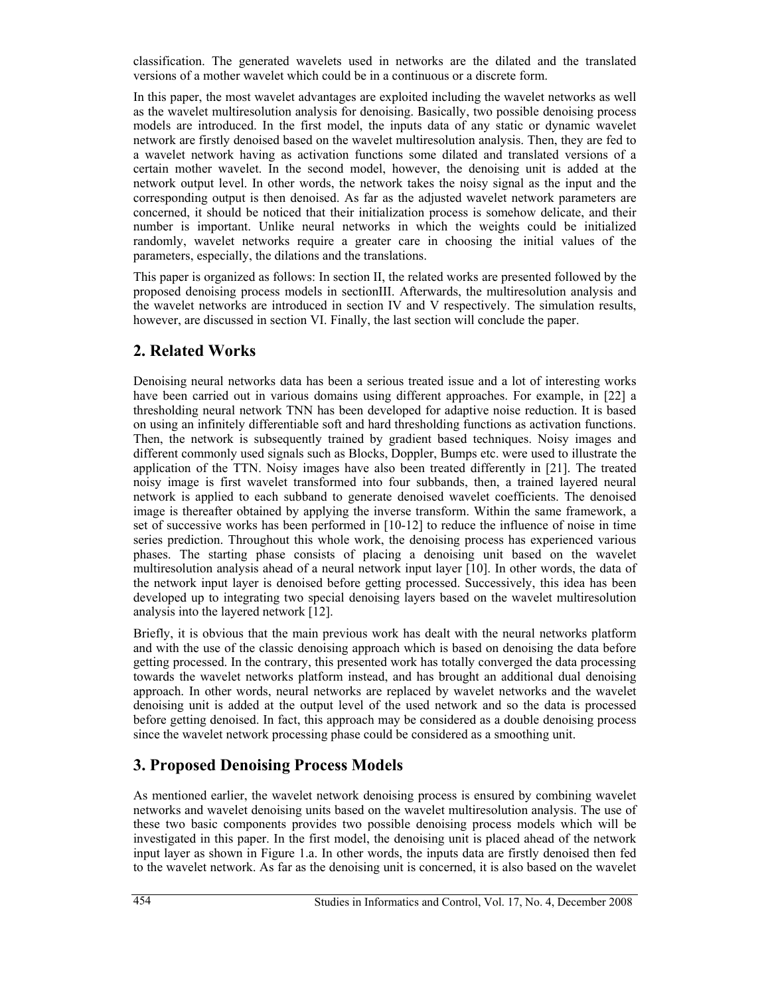classification. The generated wavelets used in networks are the dilated and the translated versions of a mother wavelet which could be in a continuous or a discrete form.

In this paper, the most wavelet advantages are exploited including the wavelet networks as well as the wavelet multiresolution analysis for denoising. Basically, two possible denoising process models are introduced. In the first model, the inputs data of any static or dynamic wavelet network are firstly denoised based on the wavelet multiresolution analysis. Then, they are fed to a wavelet network having as activation functions some dilated and translated versions of a certain mother wavelet. In the second model, however, the denoising unit is added at the network output level. In other words, the network takes the noisy signal as the input and the corresponding output is then denoised. As far as the adjusted wavelet network parameters are concerned, it should be noticed that their initialization process is somehow delicate, and their number is important. Unlike neural networks in which the weights could be initialized randomly, wavelet networks require a greater care in choosing the initial values of the parameters, especially, the dilations and the translations.

This paper is organized as follows: In section II, the related works are presented followed by the proposed denoising process models in sectionIII. Afterwards, the multiresolution analysis and the wavelet networks are introduced in section IV and V respectively. The simulation results, however, are discussed in section VI. Finally, the last section will conclude the paper.

# **2. Related Works**

Denoising neural networks data has been a serious treated issue and a lot of interesting works have been carried out in various domains using different approaches. For example, in [22] a thresholding neural network TNN has been developed for adaptive noise reduction. It is based on using an infinitely differentiable soft and hard thresholding functions as activation functions. Then, the network is subsequently trained by gradient based techniques. Noisy images and different commonly used signals such as Blocks, Doppler, Bumps etc. were used to illustrate the application of the TTN. Noisy images have also been treated differently in [21]. The treated noisy image is first wavelet transformed into four subbands, then, a trained layered neural network is applied to each subband to generate denoised wavelet coefficients. The denoised image is thereafter obtained by applying the inverse transform. Within the same framework, a set of successive works has been performed in [10-12] to reduce the influence of noise in time series prediction. Throughout this whole work, the denoising process has experienced various phases. The starting phase consists of placing a denoising unit based on the wavelet multiresolution analysis ahead of a neural network input layer [10]. In other words, the data of the network input layer is denoised before getting processed. Successively, this idea has been developed up to integrating two special denoising layers based on the wavelet multiresolution analysis into the layered network [12].

Briefly, it is obvious that the main previous work has dealt with the neural networks platform and with the use of the classic denoising approach which is based on denoising the data before getting processed. In the contrary, this presented work has totally converged the data processing towards the wavelet networks platform instead, and has brought an additional dual denoising approach. In other words, neural networks are replaced by wavelet networks and the wavelet denoising unit is added at the output level of the used network and so the data is processed before getting denoised. In fact, this approach may be considered as a double denoising process since the wavelet network processing phase could be considered as a smoothing unit.

# **3. Proposed Denoising Process Models**

As mentioned earlier, the wavelet network denoising process is ensured by combining wavelet networks and wavelet denoising units based on the wavelet multiresolution analysis. The use of these two basic components provides two possible denoising process models which will be investigated in this paper. In the first model, the denoising unit is placed ahead of the network input layer as shown in Figure 1.a. In other words, the inputs data are firstly denoised then fed to the wavelet network. As far as the denoising unit is concerned, it is also based on the wavelet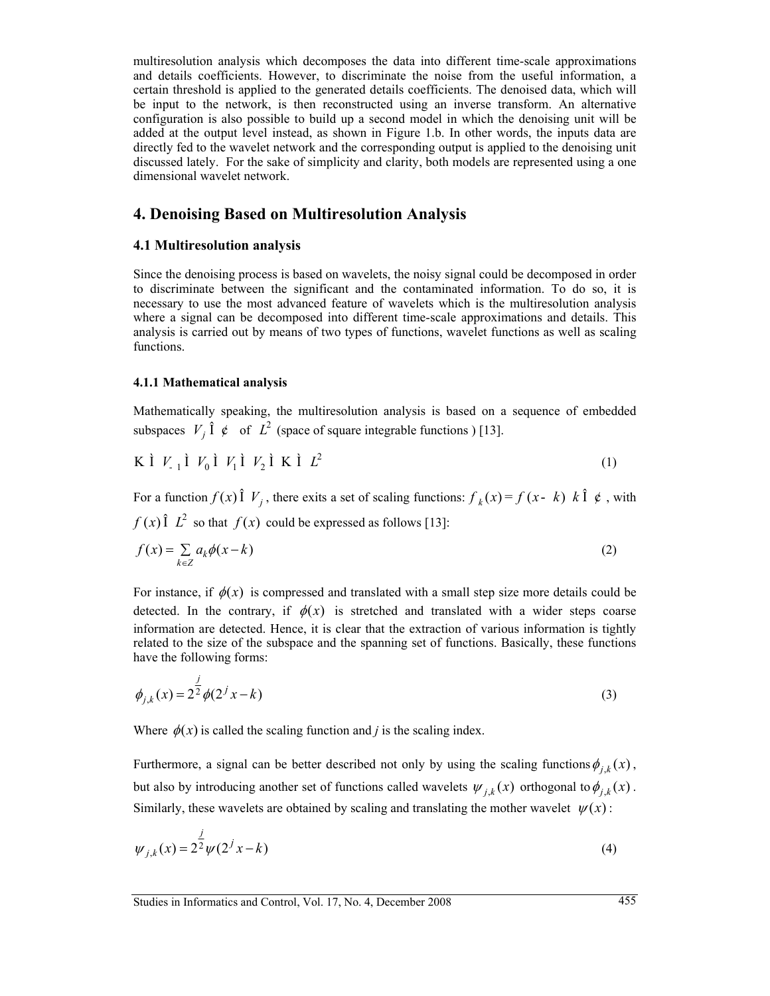multiresolution analysis which decomposes the data into different time-scale approximations and details coefficients. However, to discriminate the noise from the useful information, a certain threshold is applied to the generated details coefficients. The denoised data, which will be input to the network, is then reconstructed using an inverse transform. An alternative configuration is also possible to build up a second model in which the denoising unit will be added at the output level instead, as shown in Figure 1.b. In other words, the inputs data are directly fed to the wavelet network and the corresponding output is applied to the denoising unit discussed lately. For the sake of simplicity and clarity, both models are represented using a one dimensional wavelet network.

### **4. Denoising Based on Multiresolution Analysis**

### **4.1 Multiresolution analysis**

Since the denoising process is based on wavelets, the noisy signal could be decomposed in order to discriminate between the significant and the contaminated information. To do so, it is necessary to use the most advanced feature of wavelets which is the multiresolution analysis where a signal can be decomposed into different time-scale approximations and details. This analysis is carried out by means of two types of functions, wavelet functions as well as scaling functions.

### **4.1.1 Mathematical analysis**

Mathematically speaking, the multiresolution analysis is based on a sequence of embedded subspaces  $V_i \hat{\mathbf{l}} \notin \text{of } L^2$  (space of square integrable functions ) [13].

$$
K \dot{I} V_{1} \dot{I} V_{0} \dot{I} V_{1} \dot{I} V_{2} \dot{I} K \dot{I} L^{2}
$$
\n
$$
(1)
$$

For a function  $f(x)$   $\hat{\textbf{I}}$   $V_i$ , there exits a set of scaling functions:  $f_k(x) = f(x - k) \hat{\textbf{I}} \hat{\textbf{I}} \hat{\textbf{f}}$ , with  $f(x)$   $\hat{L}^2$  so that  $f(x)$  could be expressed as follows [13]:

$$
f(x) = \sum_{k \in \mathbb{Z}} a_k \phi(x - k) \tag{2}
$$

For instance, if  $\phi(x)$  is compressed and translated with a small step size more details could be detected. In the contrary, if  $\phi(x)$  is stretched and translated with a wider steps coarse information are detected. Hence, it is clear that the extraction of various information is tightly related to the size of the subspace and the spanning set of functions. Basically, these functions have the following forms:

$$
\phi_{j,k}(x) = 2^{\frac{j}{2}} \phi(2^j x - k)
$$
\n(3)

Where  $\phi(x)$  is called the scaling function and *j* is the scaling index.

Furthermore, a signal can be better described not only by using the scaling functions  $\phi_{i,k}(x)$ , but also by introducing another set of functions called wavelets  $\psi_{i,k}(x)$  orthogonal to  $\phi_{i,k}(x)$ . Similarly, these wavelets are obtained by scaling and translating the mother wavelet  $\psi(x)$ :

$$
\psi_{j,k}(x) = 2^{\frac{j}{2}} \psi(2^j x - k)
$$
\n(4)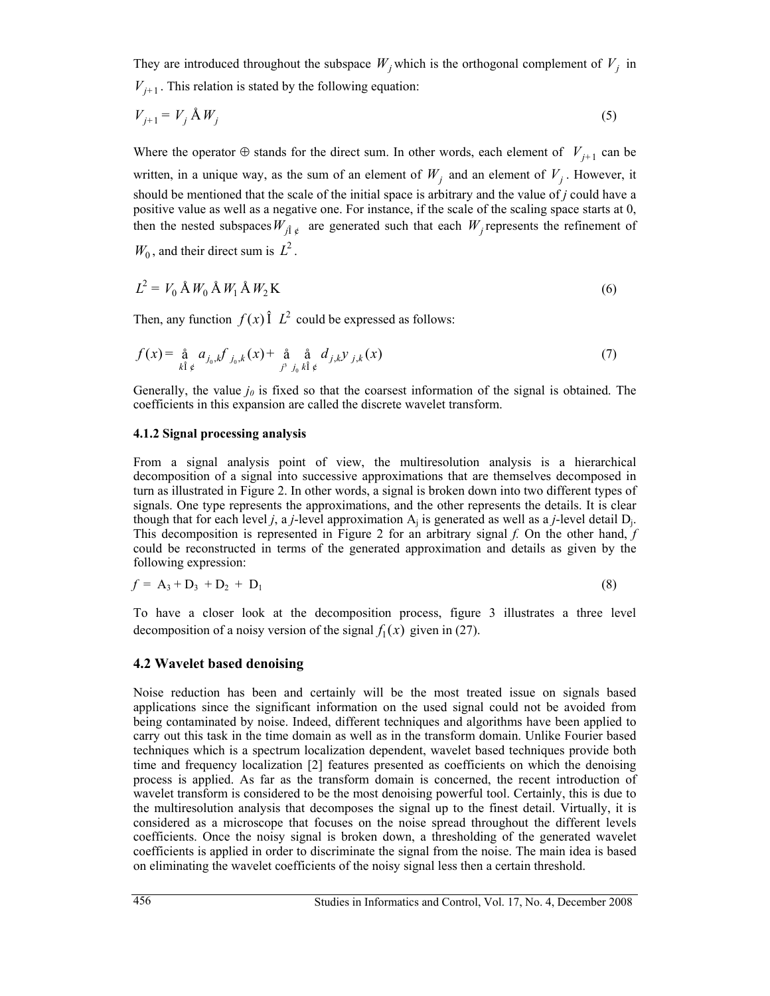They are introduced throughout the subspace  $W_i$  which is the orthogonal complement of  $V_i$  in  $V_{i+1}$ . This relation is stated by the following equation:

$$
V_{j+1} = V_j \mathbf{\hat{A}} W_j \tag{5}
$$

Where the operator  $\oplus$  stands for the direct sum. In other words, each element of  $V_{i+1}$  can be written, in a unique way, as the sum of an element of  $W_i$  and an element of  $V_i$ . However, it should be mentioned that the scale of the initial space is arbitrary and the value of *j* could have a positive value as well as a negative one. For instance, if the scale of the scaling space starts at 0, then the nested subspaces  $W_{\hat{fl}\hat{e}}$  are generated such that each  $W_i$  represents the refinement of  $W_0$ , and their direct sum is  $L^2$ .

$$
L^2 = V_0 \mathbf{A} W_0 \mathbf{A} W_1 \mathbf{A} W_2 \mathbf{K}
$$
 (6)

Then, any function  $f(x)$   $\hat{I}$   $\hat{L}^2$  could be expressed as follows:

$$
f(x) = \underset{k \hat{1} \notin}{\hat{a}} a_{j_0,k} f_{j_0,k}(x) + \underset{j^3}{\hat{a}} \underset{j_0}{\hat{a}} d_{j,k} y_{j,k}(x) \tag{7}
$$

Generally, the value  $j<sub>0</sub>$  is fixed so that the coarsest information of the signal is obtained. The coefficients in this expansion are called the discrete wavelet transform.

#### **4.1.2 Signal processing analysis**

From a signal analysis point of view, the multiresolution analysis is a hierarchical decomposition of a signal into successive approximations that are themselves decomposed in turn as illustrated in Figure 2. In other words, a signal is broken down into two different types of signals. One type represents the approximations, and the other represents the details. It is clear though that for each level *j*, a *j*-level approximation  $A_i$  is generated as well as a *j*-level detail  $D_i$ . This decomposition is represented in Figure 2 for an arbitrary signal *f.* On the other hand, *f*  could be reconstructed in terms of the generated approximation and details as given by the following expression:

$$
f = A_3 + D_3 + D_2 + D_1 \tag{8}
$$

To have a closer look at the decomposition process, figure 3 illustrates a three level decomposition of a noisy version of the signal  $f_1(x)$  given in (27).

### **4.2 Wavelet based denoising**

Noise reduction has been and certainly will be the most treated issue on signals based applications since the significant information on the used signal could not be avoided from being contaminated by noise. Indeed, different techniques and algorithms have been applied to carry out this task in the time domain as well as in the transform domain. Unlike Fourier based techniques which is a spectrum localization dependent, wavelet based techniques provide both time and frequency localization [2] features presented as coefficients on which the denoising process is applied. As far as the transform domain is concerned, the recent introduction of wavelet transform is considered to be the most denoising powerful tool. Certainly, this is due to the multiresolution analysis that decomposes the signal up to the finest detail. Virtually, it is considered as a microscope that focuses on the noise spread throughout the different levels coefficients. Once the noisy signal is broken down, a thresholding of the generated wavelet coefficients is applied in order to discriminate the signal from the noise. The main idea is based on eliminating the wavelet coefficients of the noisy signal less then a certain threshold.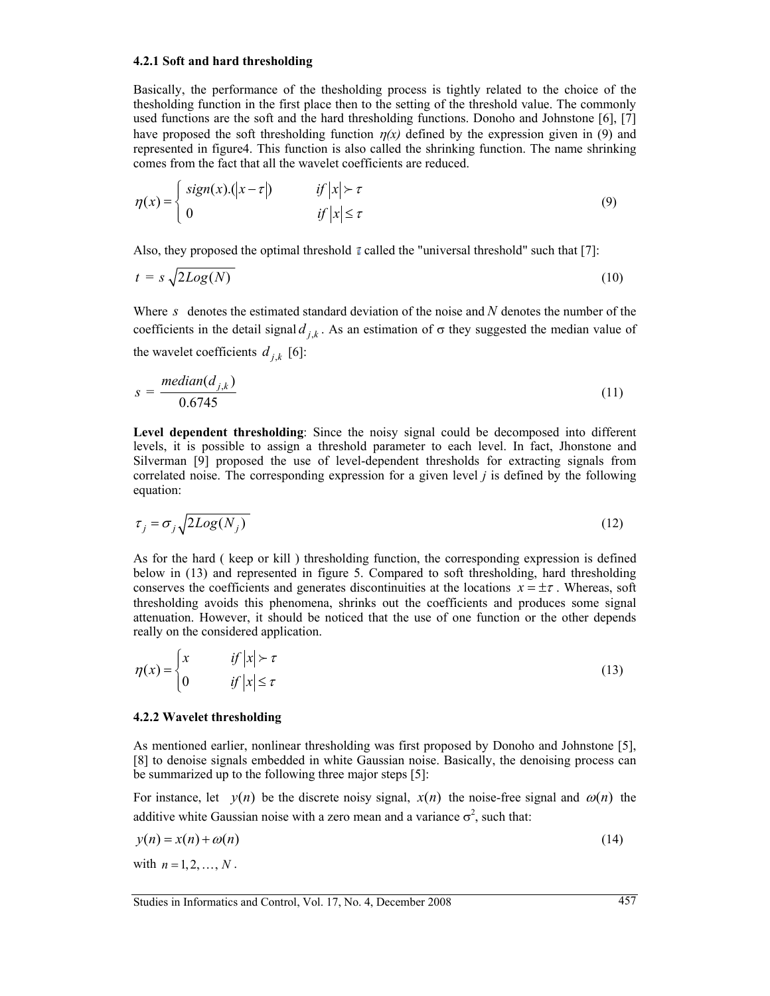### **4.2.1 Soft and hard thresholding**

Basically, the performance of the thesholding process is tightly related to the choice of the thesholding function in the first place then to the setting of the threshold value. The commonly used functions are the soft and the hard thresholding functions. Donoho and Johnstone [6], [7] have proposed the soft thresholding function  $\eta(x)$  defined by the expression given in (9) and represented in figure4. This function is also called the shrinking function. The name shrinking comes from the fact that all the wavelet coefficients are reduced.

$$
\eta(x) = \begin{cases} sign(x) .(|x - \tau|) & \text{if } |x| > \tau \\ 0 & \text{if } |x| \le \tau \end{cases}
$$
\n(9)

Also, they proposed the optimal threshold  $\bar{\tau}$  called the "universal threshold" such that [7]:

$$
t = s \sqrt{2Log(N)} \tag{10}
$$

Where *s* denotes the estimated standard deviation of the noise and *N* denotes the number of the coefficients in the detail signal  $d_{i,k}$ . As an estimation of  $\sigma$  they suggested the median value of the wavelet coefficients  $d_{i,k}$  [6]:

$$
s = \frac{median(d_{j,k})}{0.6745} \tag{11}
$$

**Level dependent thresholding**: Since the noisy signal could be decomposed into different levels, it is possible to assign a threshold parameter to each level. In fact, Jhonstone and Silverman [9] proposed the use of level-dependent thresholds for extracting signals from correlated noise. The corresponding expression for a given level *j* is defined by the following equation:

$$
\tau_j = \sigma_j \sqrt{2Log(N_j)}
$$
 (12)

As for the hard ( keep or kill ) thresholding function, the corresponding expression is defined below in (13) and represented in figure 5. Compared to soft thresholding, hard thresholding conserves the coefficients and generates discontinuities at the locations  $x = \pm \tau$ . Whereas, soft thresholding avoids this phenomena, shrinks out the coefficients and produces some signal attenuation. However, it should be noticed that the use of one function or the other depends really on the considered application.

$$
\eta(x) = \begin{cases} x & \text{if } |x| > \tau \\ 0 & \text{if } |x| \le \tau \end{cases}
$$
\n(13)

#### **4.2.2 Wavelet thresholding**

As mentioned earlier, nonlinear thresholding was first proposed by Donoho and Johnstone [5], [8] to denoise signals embedded in white Gaussian noise. Basically, the denoising process can be summarized up to the following three major steps [5]:

For instance, let  $y(n)$  be the discrete noisy signal,  $x(n)$  the noise-free signal and  $\omega(n)$  the additive white Gaussian noise with a zero mean and a variance  $\sigma^2$ , such that:

$$
y(n) = x(n) + \omega(n) \tag{14}
$$

with  $n = 1, 2, ..., N$ .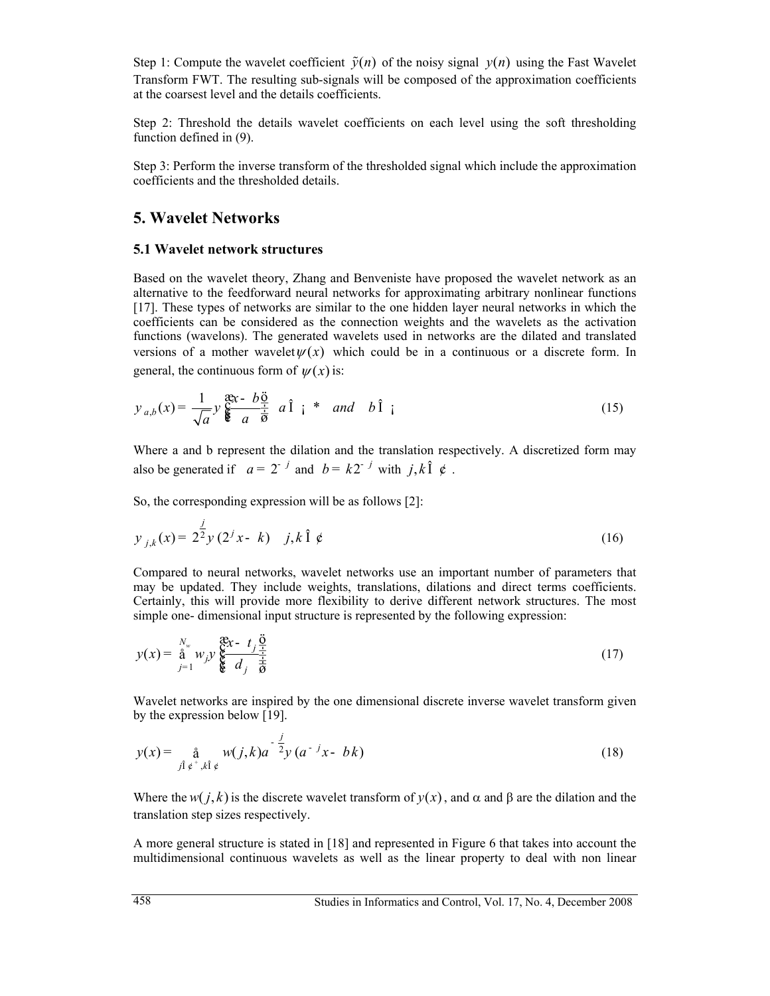Step 1: Compute the wavelet coefficient  $\tilde{y}(n)$  of the noisy signal  $y(n)$  using the Fast Wavelet Transform FWT. The resulting sub-signals will be composed of the approximation coefficients at the coarsest level and the details coefficients.

Step 2: Threshold the details wavelet coefficients on each level using the soft thresholding function defined in (9).

Step 3: Perform the inverse transform of the thresholded signal which include the approximation coefficients and the thresholded details.

### **5. Wavelet Networks**

### **5.1 Wavelet network structures**

Based on the wavelet theory, Zhang and Benveniste have proposed the wavelet network as an alternative to the feedforward neural networks for approximating arbitrary nonlinear functions [17]. These types of networks are similar to the one hidden layer neural networks in which the coefficients can be considered as the connection weights and the wavelets as the activation functions (wavelons). The generated wavelets used in networks are the dilated and translated versions of a mother wavelet  $\psi(x)$  which could be in a continuous or a discrete form. In general, the continuous form of  $\psi(x)$  is:

$$
y_{a,b}(x) = \frac{1}{\sqrt{a}} y \frac{\mathfrak{F}x - b\frac{\mathfrak{F}}{\frac{1}{a}}}{\mathfrak{F}a \overrightarrow{b}} a \hat{1} i * and b \hat{1} i
$$
 (15)

Where a and b represent the dilation and the translation respectively. A discretized form may also be generated if  $a = 2^{-j}$  and  $b = k2^{-j}$  with *j*,  $k\hat{1}$   $\hat{e}$ .

So, the corresponding expression will be as follows [2]:

$$
y_{j,k}(x) = 2^{\frac{j}{2}} y(2^j x - k) + j, k \hat{1} \notin (16)
$$

Compared to neural networks, wavelet networks use an important number of parameters that may be updated. They include weights, translations, dilations and direct terms coefficients. Certainly, this will provide more flexibility to derive different network structures. The most simple one- dimensional input structure is represented by the following expression:

$$
y(x) = \stackrel{N_w}{\underset{j=1}{\text{a}}} w_{j} y \stackrel{\mathfrak{F}^{\mathfrak{X}} x - t_j}{\underset{\mathfrak{F}}{\mathfrak{Y}}} \frac{\ddot{a}}{d_j} \frac{1}{\dot{\overline{a}}} \tag{17}
$$

Wavelet networks are inspired by the one dimensional discrete inverse wavelet transform given by the expression below [19].

$$
y(x) = \frac{\mathring{a}}{j! \mathring{e}^+, k! \mathring{e}} w(j,k) a^{-\frac{j}{2}} y(a^{-j}x - bk)
$$
 (18)

Where the *w*( $i, k$ ) is the discrete wavelet transform of  $y(x)$ , and  $\alpha$  and  $\beta$  are the dilation and the translation step sizes respectively.

A more general structure is stated in [18] and represented in Figure 6 that takes into account the multidimensional continuous wavelets as well as the linear property to deal with non linear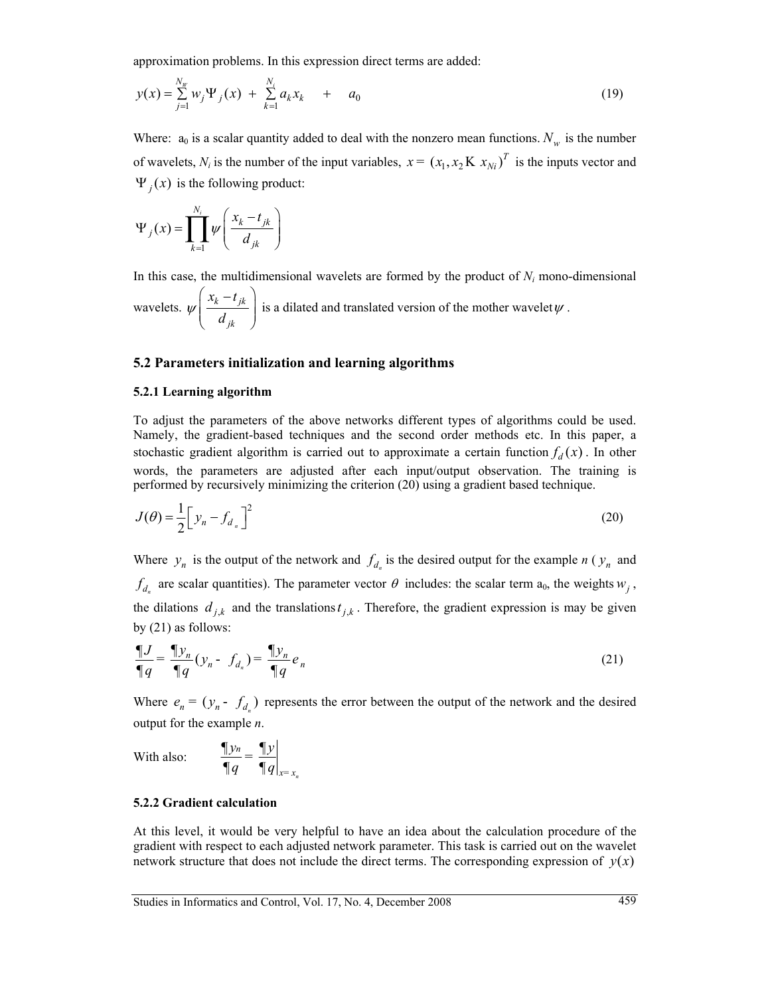approximation problems. In this expression direct terms are added:

$$
y(x) = \sum_{j=1}^{N_W} w_j \Psi_j(x) + \sum_{k=1}^{N_i} a_k x_k + a_0
$$
 (19)

Where:  $a_0$  is a scalar quantity added to deal with the nonzero mean functions.  $N_w$  is the number of wavelets,  $N_i$  is the number of the input variables,  $x = (x_1, x_2 K x_{N_i})^T$  is the inputs vector and  $\Psi_i(x)$  is the following product:

$$
\Psi_j(x) = \prod_{k=1}^{N_i} \psi\left(\frac{x_k - t_{jk}}{d_{jk}}\right)
$$

In this case, the multidimensional wavelets are formed by the product of *Ni* mono-dimensional wavelets.  $\psi\left|\frac{x_k - i_{jk}}{1}\right|$ *jk*  $x_k - t$  $\psi\left(\frac{x_k-t_{jk}}{d_{jk}}\right)$ is a dilated and translated version of the mother wavelet  $\psi$ .

### **5.2 Parameters initialization and learning algorithms**

### **5.2.1 Learning algorithm**

To adjust the parameters of the above networks different types of algorithms could be used. Namely, the gradient-based techniques and the second order methods etc. In this paper, a stochastic gradient algorithm is carried out to approximate a certain function  $f_d(x)$ . In other words, the parameters are adjusted after each input/output observation. The training is performed by recursively minimizing the criterion (20) using a gradient based technique.

$$
J(\theta) = \frac{1}{2} \left[ y_n - f_{d_n} \right]^2 \tag{20}
$$

Where  $y_n$  is the output of the network and  $f_{d_n}$  is the desired output for the example *n* ( $y_n$  and  $f_{d_n}$  are scalar quantities). The parameter vector  $\theta$  includes: the scalar term  $a_0$ , the weights  $w_j$ , the dilations  $d_{j,k}$  and the translations  $t_{j,k}$ . Therefore, the gradient expression is may be given by (21) as follows:

$$
\frac{\P{J}}{\P{q}} = \frac{\P{y_n}}{\P{q}} (y_n - f_{d_n}) = \frac{\P{y_n}}{\P{q}} e_n
$$
\n(21)

Where  $e_n = (y_n - f_{d_n})$  represents the error between the output of the network and the desired output for the example *n*.

With also: 
$$
\frac{\P{y_n}}{\P{q}} = \frac{\P{y}}{\P{q}}\bigg|_{x = x_n}
$$

### **5.2.2 Gradient calculation**

At this level, it would be very helpful to have an idea about the calculation procedure of the gradient with respect to each adjusted network parameter. This task is carried out on the wavelet network structure that does not include the direct terms. The corresponding expression of  $y(x)$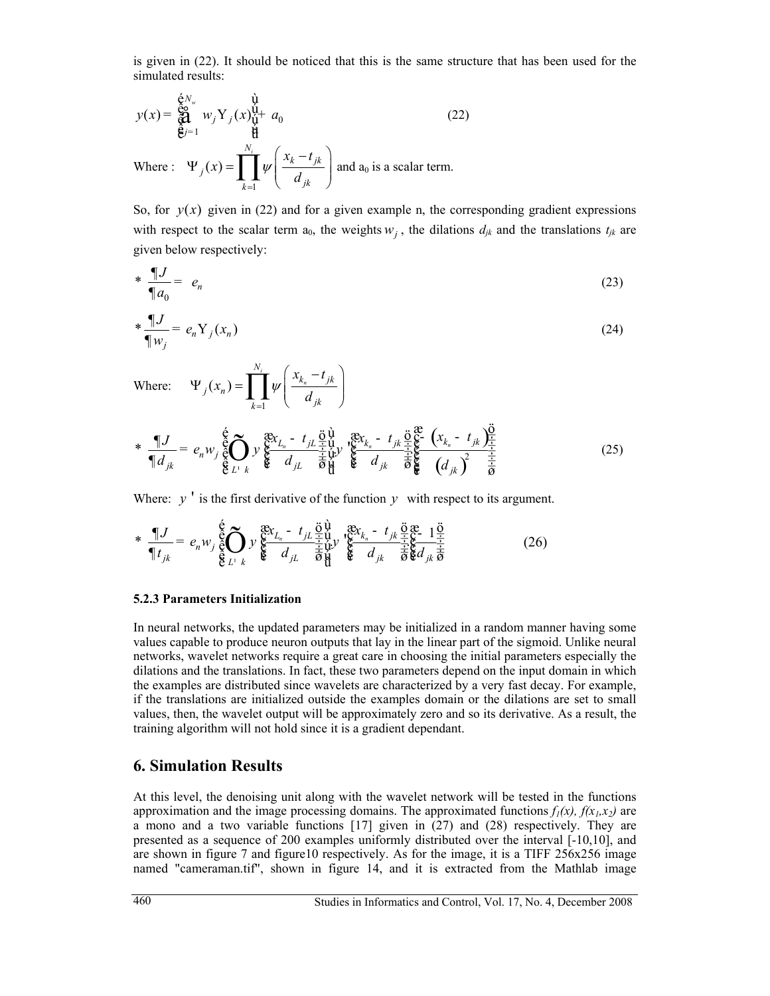is given in (22). It should be noticed that this is the same structure that has been used for the simulated results:

$$
y(x) = \bigotimes_{k=1}^{\infty} w_j Y_j(x) \bigotimes_{k=1}^{\infty} a_0
$$
\n
$$
\text{Where: } \Psi_j(x) = \prod_{k=1}^{N_i} \psi\left(\frac{x_k - t_{jk}}{d_{jk}}\right) \text{ and } a_0 \text{ is a scalar term.}
$$
\n(22)

So, for  $y(x)$  given in (22) and for a given example n, the corresponding gradient expressions with respect to the scalar term  $a_0$ , the weights  $w_i$ , the dilations  $d_{ik}$  and the translations  $t_{ik}$  are given below respectively:

$$
\ast \frac{\P{J}}{\P{a_0}} = e_n \tag{23}
$$

$$
\frac{\P{J}}{\P{w_j}} = e_n Y_j(x_n) \tag{24}
$$

Where: 1  $(x_n)$ *i n N*  $k_{n}$ <sup> $\mu$ </sup> *jk*  $i^{(\lambda_n)}$  $\overline{k=1}$  *u*<sub>jk</sub>  $x_k - t$  $\Psi_j(x_n) = \prod_{k=1}^{N_i} \psi\left(\frac{x_{k_n} - t_{jk}}{d_{jk}}\right)$ 

\* 
$$
\frac{\P J}{\P d_{jk}} = e_n w_j \frac{\xi}{\xi} \sum_{L^1} y_i \frac{\xi x_{L_n} - t_{jL} \frac{\partial \psi}{\partial x}}{\xi d_{jL}} y_i \frac{\xi x_{k_n} - t_{jk} \frac{\partial \xi}{\partial x}}{\xi} \frac{\xi}{\xi} \frac{\xi}{\xi} \frac{\xi}{\xi} \frac{\xi}{\xi} \frac{\xi}{\xi} \frac{\xi}{\xi} \frac{\xi}{\xi} \frac{\xi}{\xi} \frac{\xi}{\xi} \frac{\xi}{\xi} \frac{\xi}{\xi} \frac{\xi}{\xi} \frac{\xi}{\xi} \frac{\xi}{\xi} \frac{\xi}{\xi} \frac{\xi}{\xi} \frac{\xi}{\xi} \frac{\xi}{\xi} \frac{\xi}{\xi} \frac{\xi}{\xi} \frac{\xi}{\xi} \frac{\xi}{\xi} \frac{\xi}{\xi} \frac{\xi}{\xi} \frac{\xi}{\xi} \frac{\xi}{\xi} \frac{\xi}{\xi} \frac{\xi}{\xi} \frac{\xi}{\xi} \frac{\xi}{\xi} \frac{\xi}{\xi} \frac{\xi}{\xi} \frac{\xi}{\xi} \frac{\xi}{\xi} \frac{\xi}{\xi} \frac{\xi}{\xi} \frac{\xi}{\xi} \frac{\xi}{\xi} \frac{\xi}{\xi} \frac{\xi}{\xi} \frac{\xi}{\xi} \frac{\xi}{\xi} \frac{\xi}{\xi} \frac{\xi}{\xi} \frac{\xi}{\xi} \frac{\xi}{\xi} \frac{\xi}{\xi} \frac{\xi}{\xi} \frac{\xi}{\xi} \frac{\xi}{\xi} \frac{\xi}{\xi} \frac{\xi}{\xi} \frac{\xi}{\xi} \frac{\xi}{\xi} \frac{\xi}{\xi} \frac{\xi}{\xi} \frac{\xi}{\xi} \frac{\xi}{\xi} \frac{\xi}{\xi} \frac{\xi}{\xi} \frac{\xi}{\xi} \frac{\xi}{\xi} \frac{\xi}{\xi} \frac{\xi}{\xi} \frac{\xi}{\xi} \frac{\xi}{\xi} \frac{\xi}{\xi} \frac{\xi}{\xi} \frac{\xi}{\xi} \frac{\xi}{\xi} \frac{\xi}{\xi} \frac{\xi}{\xi} \frac{\xi}{\xi} \frac{\xi}{\xi} \frac{\xi}{\xi} \frac{\xi}{\xi} \frac{\xi}{\xi} \frac{\xi}{\xi} \frac{\xi}{\xi} \frac{\xi}{\xi} \frac{\xi}{\xi} \frac{\xi}{\xi} \frac{\xi}{\
$$

Where:  $y'$  is the first derivative of the function  $y$  with respect to its argument.

$$
*\prod_{\P t_{jk}}^{q} = e_n w_j \bigg\{ \bigotimes_{\P t_{jk}}^{6} \sum_{k}^{8} y_k \bigg\{ \bigotimes_{k}^{8} \frac{1}{L} \sum_{j}^{5} \frac{1}{4} \sum_{k}^{6} y_k \bigg\{ \bigotimes_{k}^{8} \frac{1}{4} \sum_{k}^{7} \frac{1}{4} \sum_{k}^{6} \frac{1}{4} \sum_{k}^{6} \frac{1}{4} \sum_{k}^{7} \frac{1}{4} \sum_{k}^{8} \frac{1}{4} \sum_{k}^{7} \frac{1}{4} \sum_{k}^{8} \frac{1}{4} \sum_{k}^{7} \frac{1}{4} \sum_{k}^{8} \frac{1}{4} \sum_{k}^{7} \frac{1}{4} \sum_{k}^{7} \frac{1}{4} \sum_{k}^{7} \frac{1}{4} \sum_{k}^{7} \frac{1}{4} \sum_{k}^{7} \frac{1}{4} \sum_{k}^{7} \frac{1}{4} \sum_{k}^{7} \frac{1}{4} \sum_{k}^{7} \frac{1}{4} \sum_{k}^{7} \frac{1}{4} \sum_{k}^{7} \frac{1}{4} \sum_{k}^{7} \frac{1}{4} \sum_{k}^{7} \frac{1}{4} \sum_{k}^{7} \frac{1}{4} \sum_{k}^{7} \frac{1}{4} \sum_{k}^{7} \frac{1}{4} \sum_{k}^{7} \frac{1}{4} \sum_{k}^{7} \frac{1}{4} \sum_{k}^{7} \frac{1}{4} \sum_{k}^{7} \frac{1}{4} \sum_{k}^{7} \frac{1}{4} \sum_{k}^{7} \frac{1}{4} \sum_{k}^{7} \frac{1}{4} \sum_{k}^{7} \frac{1}{4} \sum_{k}^{7} \frac{1}{4} \sum_{k}^{7} \frac{1}{4} \sum_{k}^{7} \frac{1}{4} \sum_{k}^{7} \frac{1}{4} \sum_{k}^{7} \frac{1}{4} \sum_{k}^{7} \frac{1}{4} \sum_{k}^{7} \frac{1}{4} \sum_{k}^{7} \frac{1}{4} \sum_{k}^{7} \frac{1}{4} \sum_{k}^{7} \frac{1}{4} \sum_{k}^{7} \frac{1}{4
$$

### **5.2.3 Parameters Initialization**

In neural networks, the updated parameters may be initialized in a random manner having some values capable to produce neuron outputs that lay in the linear part of the sigmoid. Unlike neural networks, wavelet networks require a great care in choosing the initial parameters especially the dilations and the translations. In fact, these two parameters depend on the input domain in which the examples are distributed since wavelets are characterized by a very fast decay. For example, if the translations are initialized outside the examples domain or the dilations are set to small values, then, the wavelet output will be approximately zero and so its derivative. As a result, the training algorithm will not hold since it is a gradient dependant.

### **6. Simulation Results**

At this level, the denoising unit along with the wavelet network will be tested in the functions approximation and the image processing domains. The approximated functions  $f_1(x)$ ,  $f(x_1, x_2)$  are a mono and a two variable functions [17] given in (27) and (28) respectively. They are presented as a sequence of 200 examples uniformly distributed over the interval [-10,10], and are shown in figure 7 and figure10 respectively. As for the image, it is a TIFF 256x256 image named "cameraman.tif", shown in figure 14, and it is extracted from the Mathlab image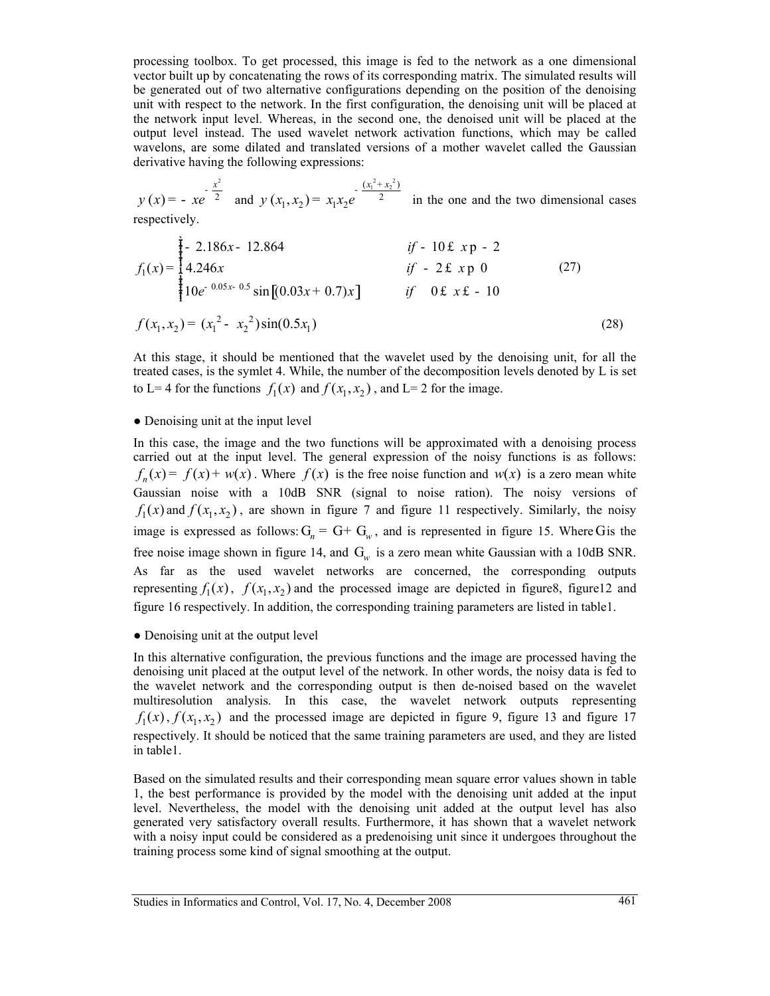processing toolbox. To get processed, this image is fed to the network as a one dimensional vector built up by concatenating the rows of its corresponding matrix. The simulated results will be generated out of two alternative configurations depending on the position of the denoising unit with respect to the network. In the first configuration, the denoising unit will be placed at the network input level. Whereas, in the second one, the denoised unit will be placed at the output level instead. The used wavelet network activation functions, which may be called wavelons, are some dilated and translated versions of a mother wavelet called the Gaussian derivative having the following expressions:

2  $(x) = -xe^{-2}$  $y(x) = -xe^{-\frac{x^2}{2}}$  and  $(x_1^2 + x_2^2)$  $(x_1, x_2) = x_1 x_2 e$  2  $x_1^2 + x$  $y(x_1, x_2) = x_1 x_2 e$  $-\frac{(x_1^2+1)}{x_1^2+1}$  $= x_1 x_2 e^{-x}$  in the one and the two dimensional cases respectively.

$$
f_1(x) = \begin{cases} \frac{3}{4} - 2.186x - 12.864 & \text{if } -10 \text{ f } x \text{ p } -2 \\ 4.246x & \text{if } -2 \text{ f } x \text{ p } 0 \\ 10e^{-0.05x - 0.5} \sin[(0.03x + 0.7)x] & \text{if } 0 \text{ f } x \text{ f } -10 \end{cases}
$$
 (27)  

$$
f(x_1, x_2) = (x_1^2 - x_2^2) \sin(0.5x_1)
$$
 (28)

At this stage, it should be mentioned that the wavelet used by the denoising unit, for all the treated cases, is the symlet 4. While, the number of the decomposition levels denoted by L is set to L= 4 for the functions  $f_1(x)$  and  $f(x_1, x_2)$ , and L= 2 for the image.

### • Denoising unit at the input level

In this case, the image and the two functions will be approximated with a denoising process carried out at the input level. The general expression of the noisy functions is as follows:  $f_n(x) = f(x) + w(x)$ . Where  $f(x)$  is the free noise function and  $w(x)$  is a zero mean white Gaussian noise with a 10dB SNR (signal to noise ration). The noisy versions of  $f_1(x)$  and  $f(x_1, x_2)$ , are shown in figure 7 and figure 11 respectively. Similarly, the noisy image is expressed as follows:  $G_n = G + G_w$ , and is represented in figure 15. Where Gis the free noise image shown in figure 14, and  $G_w$  is a zero mean white Gaussian with a 10dB SNR. As far as the used wavelet networks are concerned, the corresponding outputs representing  $f_1(x)$ ,  $f(x_1, x_2)$  and the processed image are depicted in figure8, figure12 and figure 16 respectively. In addition, the corresponding training parameters are listed in table1.

### • Denoising unit at the output level

In this alternative configuration, the previous functions and the image are processed having the denoising unit placed at the output level of the network. In other words, the noisy data is fed to the wavelet network and the corresponding output is then de-noised based on the wavelet multiresolution analysis. In this case, the wavelet network outputs representing  $f_1(x)$ ,  $f(x_1, x_2)$  and the processed image are depicted in figure 9, figure 13 and figure 17 respectively. It should be noticed that the same training parameters are used, and they are listed in table1.

Based on the simulated results and their corresponding mean square error values shown in table 1, the best performance is provided by the model with the denoising unit added at the input level. Nevertheless, the model with the denoising unit added at the output level has also generated very satisfactory overall results. Furthermore, it has shown that a wavelet network with a noisy input could be considered as a predenoising unit since it undergoes throughout the training process some kind of signal smoothing at the output.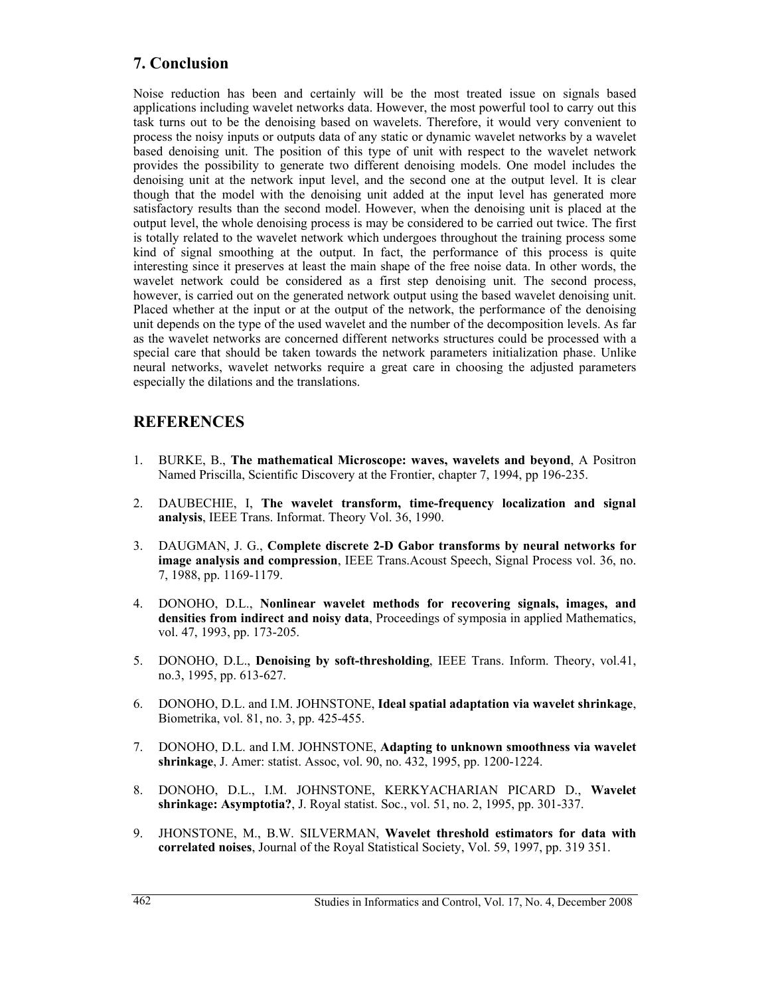# **7. Conclusion**

Noise reduction has been and certainly will be the most treated issue on signals based applications including wavelet networks data. However, the most powerful tool to carry out this task turns out to be the denoising based on wavelets. Therefore, it would very convenient to process the noisy inputs or outputs data of any static or dynamic wavelet networks by a wavelet based denoising unit. The position of this type of unit with respect to the wavelet network provides the possibility to generate two different denoising models. One model includes the denoising unit at the network input level, and the second one at the output level. It is clear though that the model with the denoising unit added at the input level has generated more satisfactory results than the second model. However, when the denoising unit is placed at the output level, the whole denoising process is may be considered to be carried out twice. The first is totally related to the wavelet network which undergoes throughout the training process some kind of signal smoothing at the output. In fact, the performance of this process is quite interesting since it preserves at least the main shape of the free noise data. In other words, the wavelet network could be considered as a first step denoising unit. The second process, however, is carried out on the generated network output using the based wavelet denoising unit. Placed whether at the input or at the output of the network, the performance of the denoising unit depends on the type of the used wavelet and the number of the decomposition levels. As far as the wavelet networks are concerned different networks structures could be processed with a special care that should be taken towards the network parameters initialization phase. Unlike neural networks, wavelet networks require a great care in choosing the adjusted parameters especially the dilations and the translations.

# **REFERENCES**

- 1. BURKE, B., **The mathematical Microscope: waves, wavelets and beyond**, A Positron Named Priscilla, Scientific Discovery at the Frontier, chapter 7, 1994, pp 196-235.
- 2. DAUBECHIE, I, **The wavelet transform, time-frequency localization and signal analysis**, IEEE Trans. Informat. Theory Vol. 36, 1990.
- 3. DAUGMAN, J. G., **Complete discrete 2-D Gabor transforms by neural networks for image analysis and compression**, IEEE Trans.Acoust Speech, Signal Process vol. 36, no. 7, 1988, pp. 1169-1179.
- 4. DONOHO, D.L., **Nonlinear wavelet methods for recovering signals, images, and densities from indirect and noisy data**, Proceedings of symposia in applied Mathematics, vol. 47, 1993, pp. 173-205.
- 5. DONOHO, D.L., **Denoising by soft-thresholding**, IEEE Trans. Inform. Theory, vol.41, no.3, 1995, pp. 613-627.
- 6. DONOHO, D.L. and I.M. JOHNSTONE, **Ideal spatial adaptation via wavelet shrinkage**, Biometrika, vol. 81, no. 3, pp. 425-455.
- 7. DONOHO, D.L. and I.M. JOHNSTONE, **Adapting to unknown smoothness via wavelet shrinkage**, J. Amer: statist. Assoc, vol. 90, no. 432, 1995, pp. 1200-1224.
- 8. DONOHO, D.L., I.M. JOHNSTONE, KERKYACHARIAN PICARD D., **Wavelet shrinkage: Asymptotia?**, J. Royal statist. Soc., vol. 51, no. 2, 1995, pp. 301-337.
- 9. JHONSTONE, M., B.W. SILVERMAN, **Wavelet threshold estimators for data with correlated noises**, Journal of the Royal Statistical Society, Vol. 59, 1997, pp. 319 351.